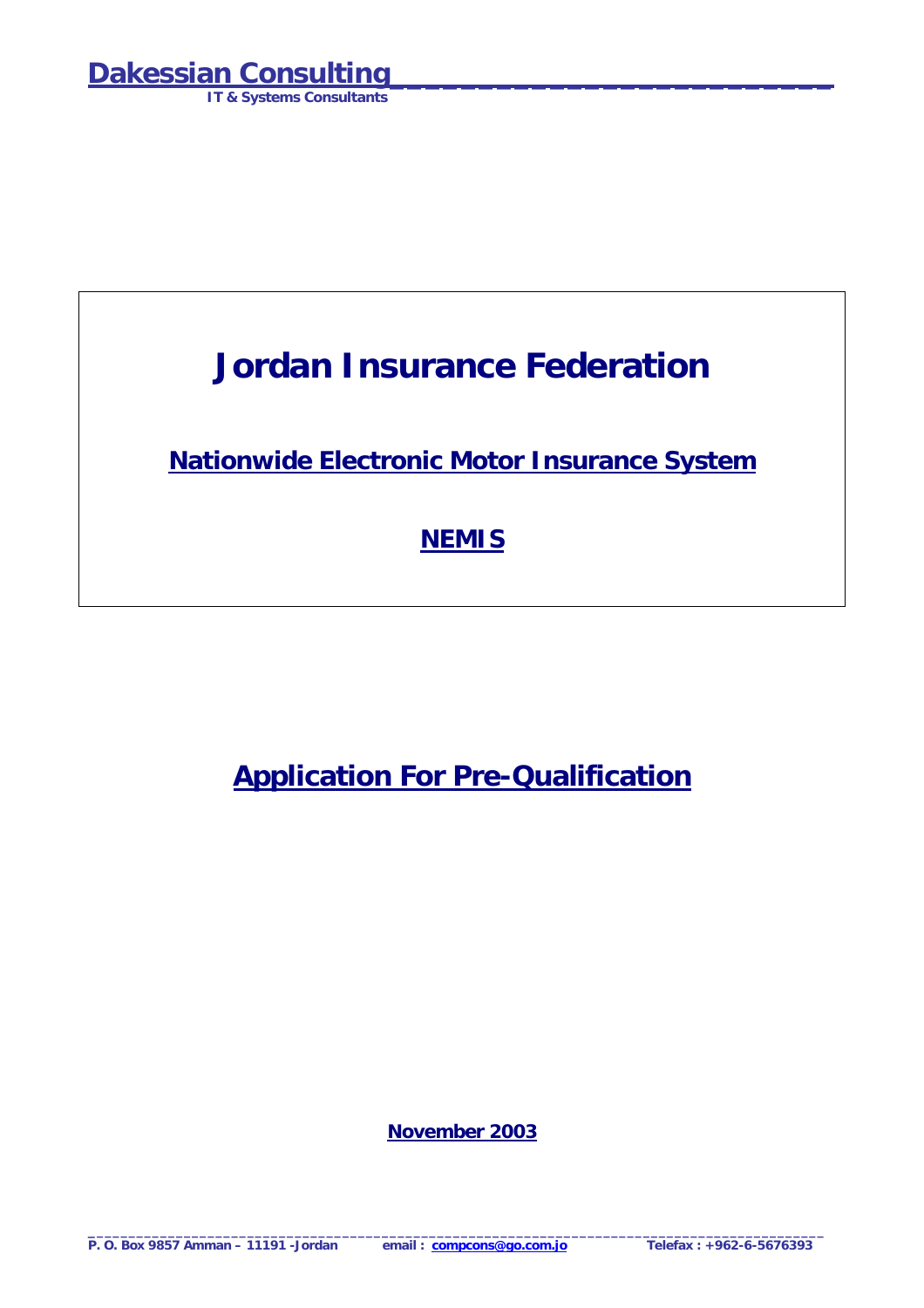**IT & Systems Consultants**

## **Jordan Insurance Federation**

**Nationwide Electronic Motor Insurance System**

## **NEMIS**

**Application For Pre-Qualification**

**November 2003**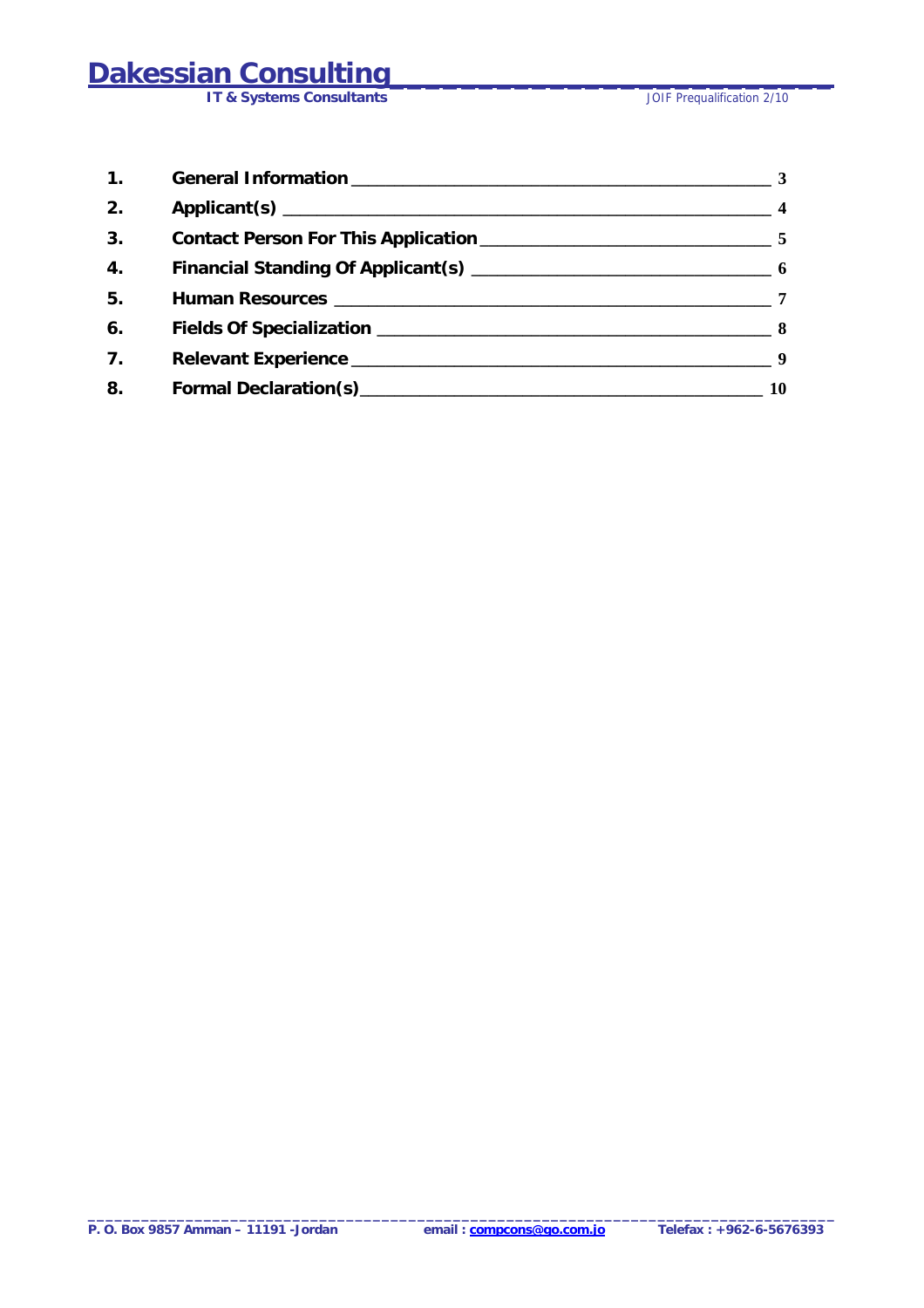# **Dakessian Consulting<br>
IT & Systems Consultants**

**IT & Systems Consultants** 

| $\mathbf{1}$ .   |                                                                                                                                                                                                                                | $-3$                    |
|------------------|--------------------------------------------------------------------------------------------------------------------------------------------------------------------------------------------------------------------------------|-------------------------|
| 2.               |                                                                                                                                                                                                                                | $\overline{\mathbf{4}}$ |
| 3.               |                                                                                                                                                                                                                                |                         |
| $\overline{4}$ . |                                                                                                                                                                                                                                |                         |
| 5.               |                                                                                                                                                                                                                                | 7                       |
| 6.               |                                                                                                                                                                                                                                |                         |
| 7 <sub>1</sub>   |                                                                                                                                                                                                                                |                         |
| 8.               | Formal Declaration(s) Manual According to the Contract of Terminan According to the Contract of Terminan According to the Contract of Terminan According to the Contract of Terminan According to the Contract of Terminan Acc | 10                      |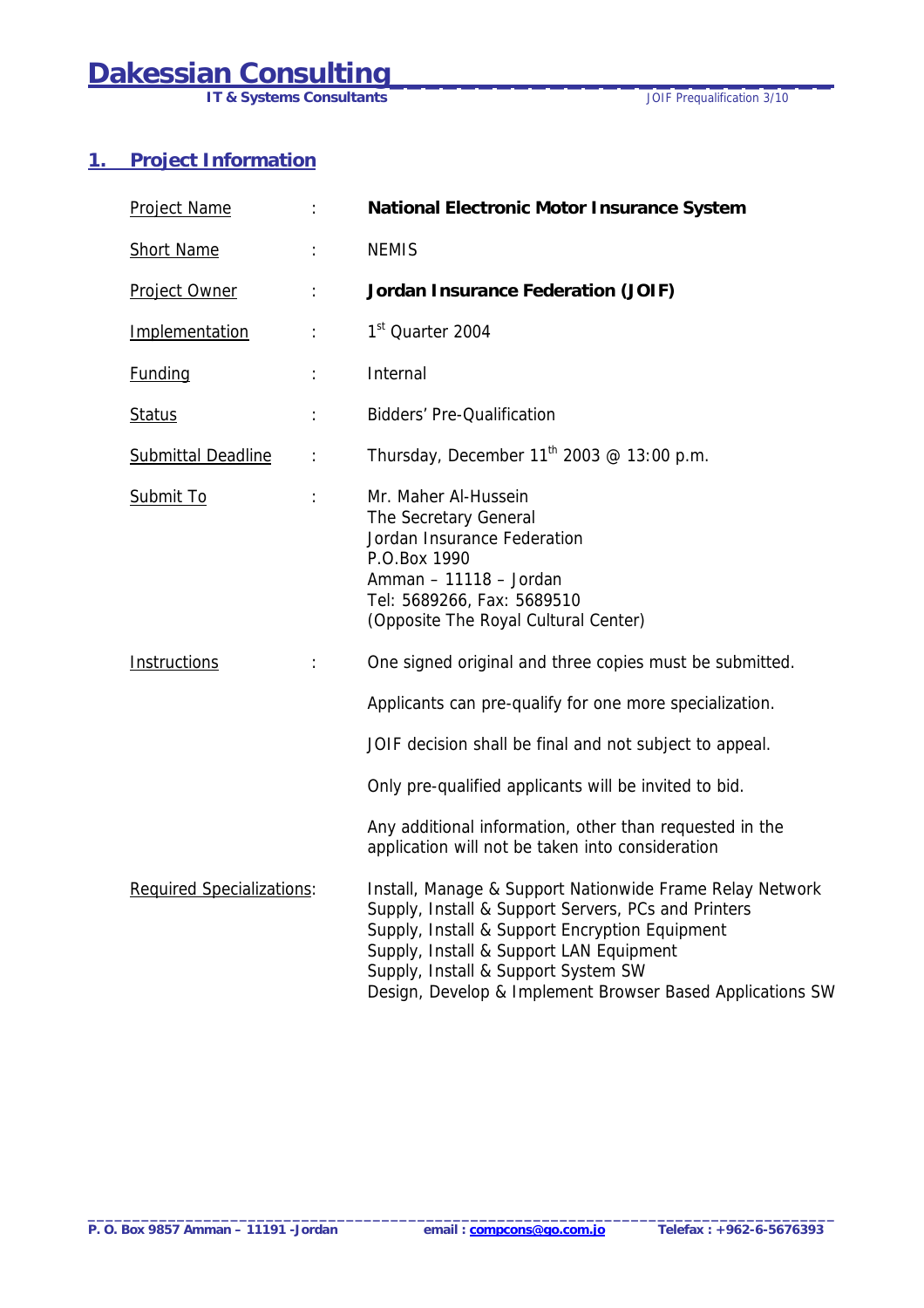<span id="page-2-0"></span>**IT & Systems Consultants** *IT & Systems Consultants JOIF Prequalification 3/10* 

### **1. Project Information**

| Project Name                     |          | National Electronic Motor Insurance System                                                                                                                                                                                                                                                                                                                           |
|----------------------------------|----------|----------------------------------------------------------------------------------------------------------------------------------------------------------------------------------------------------------------------------------------------------------------------------------------------------------------------------------------------------------------------|
| <b>Short Name</b>                |          | <b>NEMIS</b>                                                                                                                                                                                                                                                                                                                                                         |
| Project Owner                    |          | Jordan Insurance Federation (JOIF)                                                                                                                                                                                                                                                                                                                                   |
| Implementation                   |          | 1 <sup>st</sup> Quarter 2004                                                                                                                                                                                                                                                                                                                                         |
| <b>Funding</b>                   |          | Internal                                                                                                                                                                                                                                                                                                                                                             |
| <b>Status</b>                    |          | <b>Bidders' Pre-Qualification</b>                                                                                                                                                                                                                                                                                                                                    |
| <b>Submittal Deadline</b>        | $\vdots$ | Thursday, December $11^{th}$ 2003 @ 13:00 p.m.                                                                                                                                                                                                                                                                                                                       |
| Submit To                        |          | Mr. Maher Al-Hussein<br>The Secretary General<br>Jordan Insurance Federation<br>P.O.Box 1990<br>Amman - 11118 - Jordan<br>Tel: 5689266, Fax: 5689510<br>(Opposite The Royal Cultural Center)                                                                                                                                                                         |
| Instructions                     |          | One signed original and three copies must be submitted.<br>Applicants can pre-qualify for one more specialization.<br>JOIF decision shall be final and not subject to appeal.<br>Only pre-qualified applicants will be invited to bid.<br>Any additional information, other than requested in the                                                                    |
| <b>Required Specializations:</b> |          | application will not be taken into consideration<br>Install, Manage & Support Nationwide Frame Relay Network<br>Supply, Install & Support Servers, PCs and Printers<br>Supply, Install & Support Encryption Equipment<br>Supply, Install & Support LAN Equipment<br>Supply, Install & Support System SW<br>Design, Develop & Implement Browser Based Applications SW |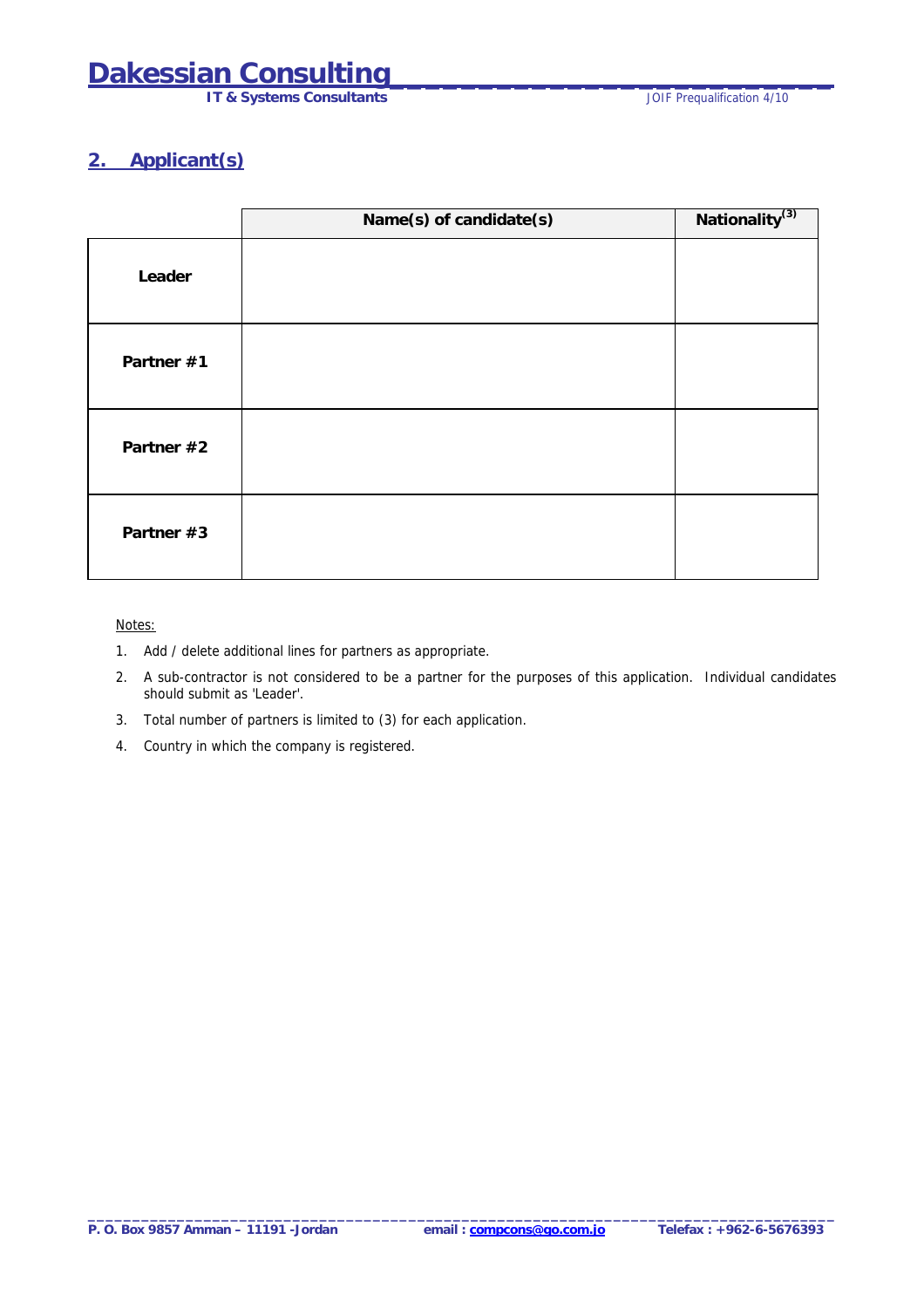**IT & Systems Consultants IT & Systems Consultants JOIF Prequalification 4/10** 

### <span id="page-3-0"></span>**2. Applicant(s)**

|            | Name(s) of candidate(s) | Nationality <sup>(3)</sup> |
|------------|-------------------------|----------------------------|
| Leader     |                         |                            |
| Partner #1 |                         |                            |
| Partner #2 |                         |                            |
| Partner #3 |                         |                            |

#### Notes:

- 1. Add / delete additional lines for partners as appropriate.
- 2. A sub-contractor is not considered to be a partner for the purposes of this application. Individual candidates should submit as 'Leader'.
- 3. Total number of partners is limited to (3) for each application.
- 4. Country in which the company is registered.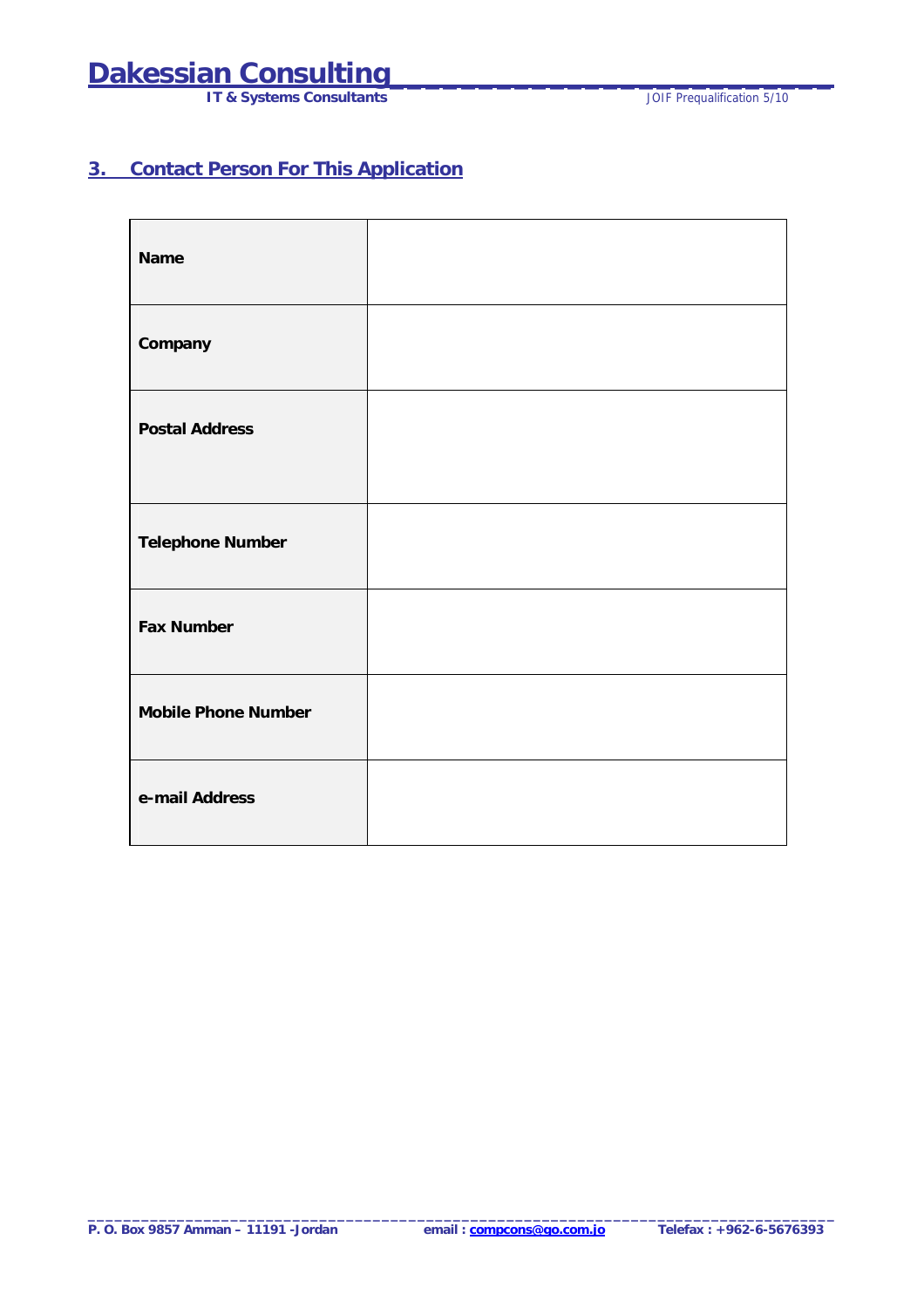# <span id="page-4-0"></span>**Dakessian Consulting<br>
IT & Systems Consultants**

**IT & Systems Consultants** 

### **3. Contact Person For This Application**

| Name                       |  |
|----------------------------|--|
| Company                    |  |
| <b>Postal Address</b>      |  |
| <b>Telephone Number</b>    |  |
| <b>Fax Number</b>          |  |
| <b>Mobile Phone Number</b> |  |
| e-mail Address             |  |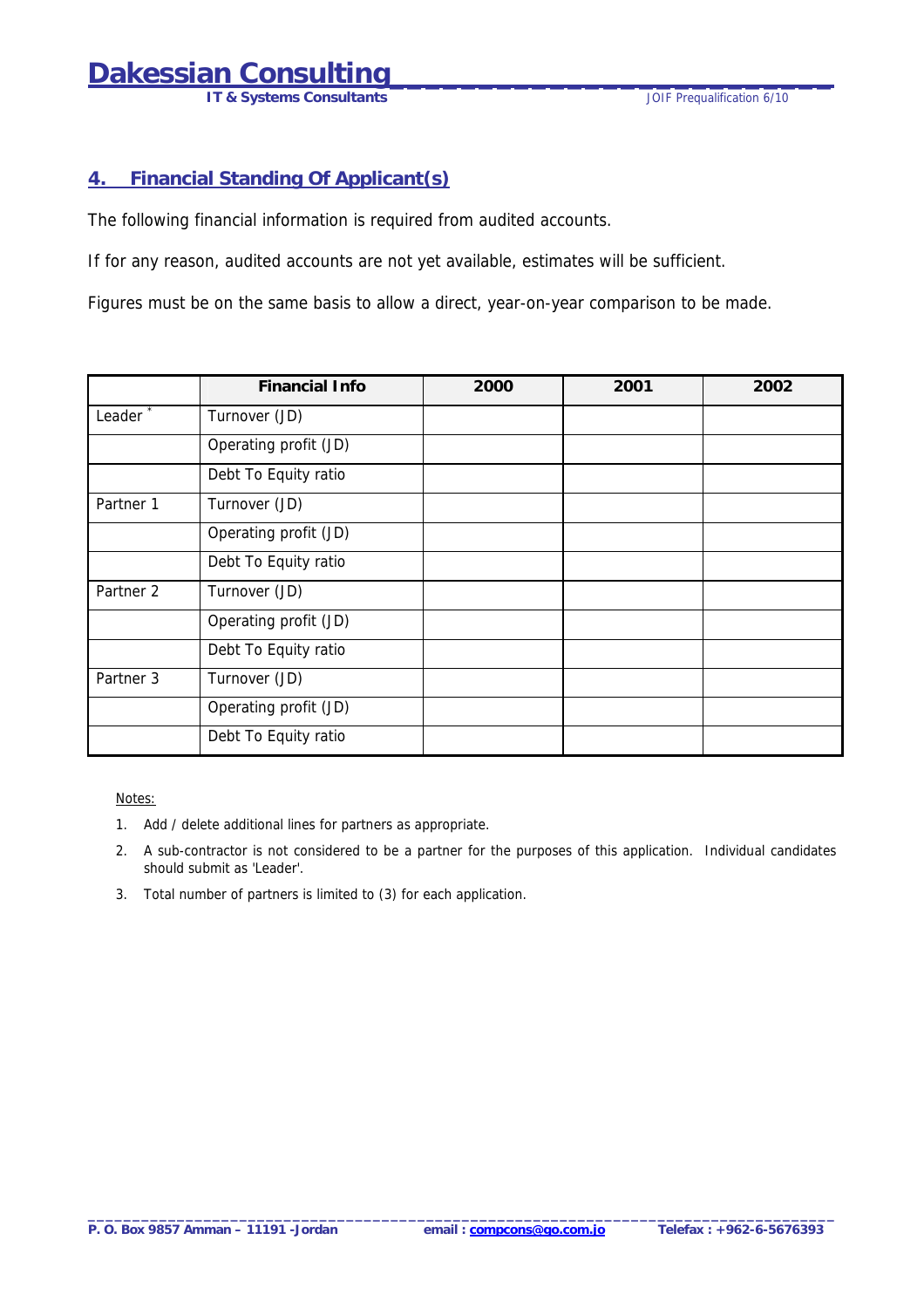**IT & Systems Consultants IT & Systems Consultants JOIF Prequalification 6/10** 

#### <span id="page-5-0"></span>**4. Financial Standing Of Applicant(s)**

The following financial information is required from audited accounts.

If for any reason, audited accounts are not yet available, estimates will be sufficient.

Figures must be on the same basis to allow a direct, year-on-year comparison to be made.

|                      | <b>Financial Info</b> | 2000 | 2001 | 2002 |
|----------------------|-----------------------|------|------|------|
| Leader <sup>*</sup>  | Turnover (JD)         |      |      |      |
|                      | Operating profit (JD) |      |      |      |
|                      | Debt To Equity ratio  |      |      |      |
| Partner 1            | Turnover (JD)         |      |      |      |
|                      | Operating profit (JD) |      |      |      |
|                      | Debt To Equity ratio  |      |      |      |
| Partner <sub>2</sub> | Turnover (JD)         |      |      |      |
|                      | Operating profit (JD) |      |      |      |
|                      | Debt To Equity ratio  |      |      |      |
| Partner 3            | Turnover (JD)         |      |      |      |
|                      | Operating profit (JD) |      |      |      |
|                      | Debt To Equity ratio  |      |      |      |

Notes:

- 1. Add / delete additional lines for partners as appropriate.
- 2. A sub-contractor is not considered to be a partner for the purposes of this application. Individual candidates should submit as 'Leader'.
- 3. Total number of partners is limited to (3) for each application.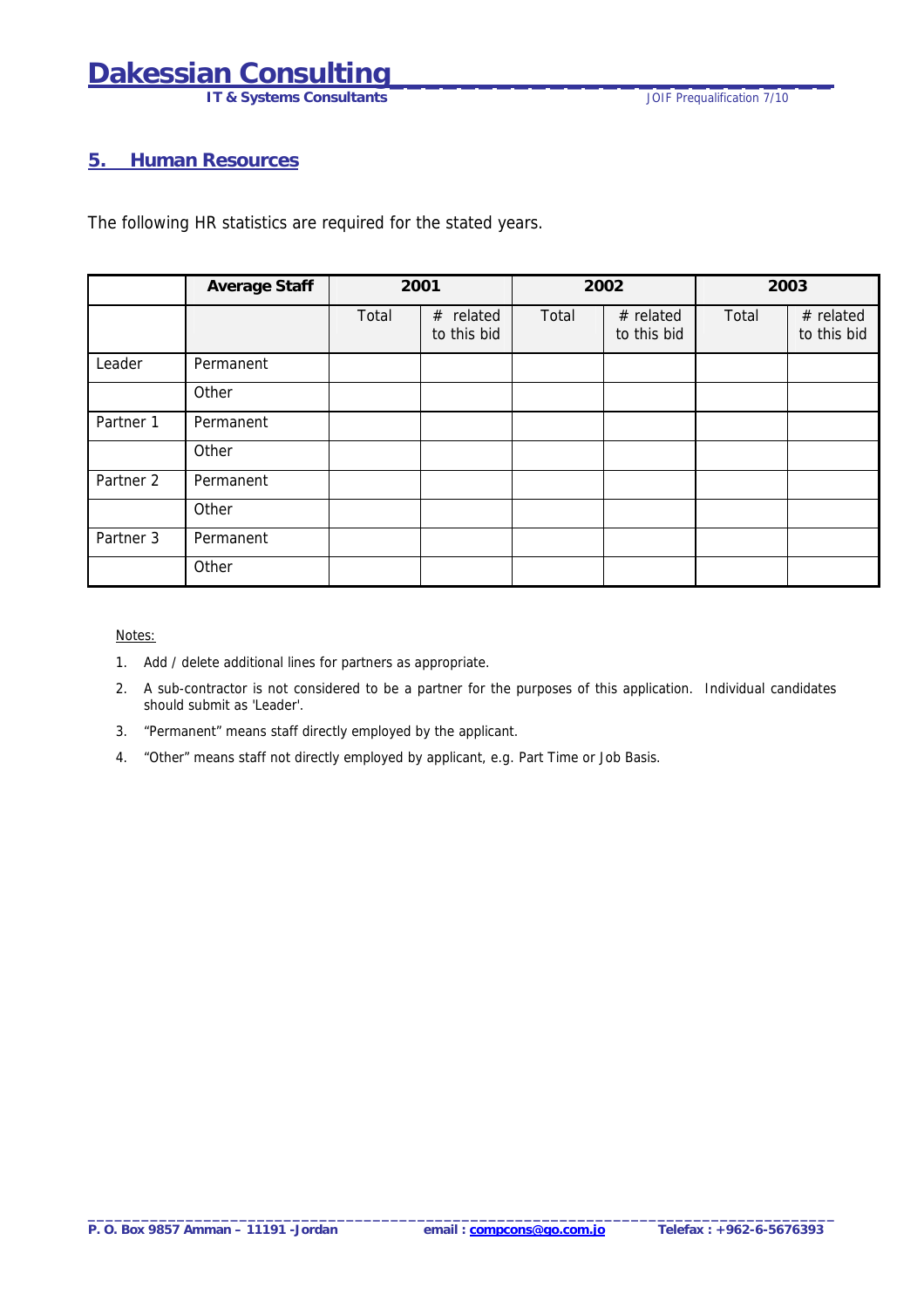**IT & Systems Consultants IT & Systems Consultants JOIF Prequalification 7/10** 

#### <span id="page-6-0"></span>**5. Human Resources**

The following HR statistics are required for the stated years.

|           | <b>Average Staff</b> | 2001  |                             |       | 2002                       |       | 2003                       |
|-----------|----------------------|-------|-----------------------------|-------|----------------------------|-------|----------------------------|
|           |                      | Total | related<br>#<br>to this bid | Total | $#$ related<br>to this bid | Total | $#$ related<br>to this bid |
| Leader    | Permanent            |       |                             |       |                            |       |                            |
|           | Other                |       |                             |       |                            |       |                            |
| Partner 1 | Permanent            |       |                             |       |                            |       |                            |
|           | Other                |       |                             |       |                            |       |                            |
| Partner 2 | Permanent            |       |                             |       |                            |       |                            |
|           | Other                |       |                             |       |                            |       |                            |
| Partner 3 | Permanent            |       |                             |       |                            |       |                            |
|           | Other                |       |                             |       |                            |       |                            |

#### Notes:

- 1. Add / delete additional lines for partners as appropriate.
- 2. A sub-contractor is not considered to be a partner for the purposes of this application. Individual candidates should submit as 'Leader'.
- 3. "Permanent" means staff directly employed by the applicant.
- 4. "Other" means staff not directly employed by applicant, e.g. Part Time or Job Basis.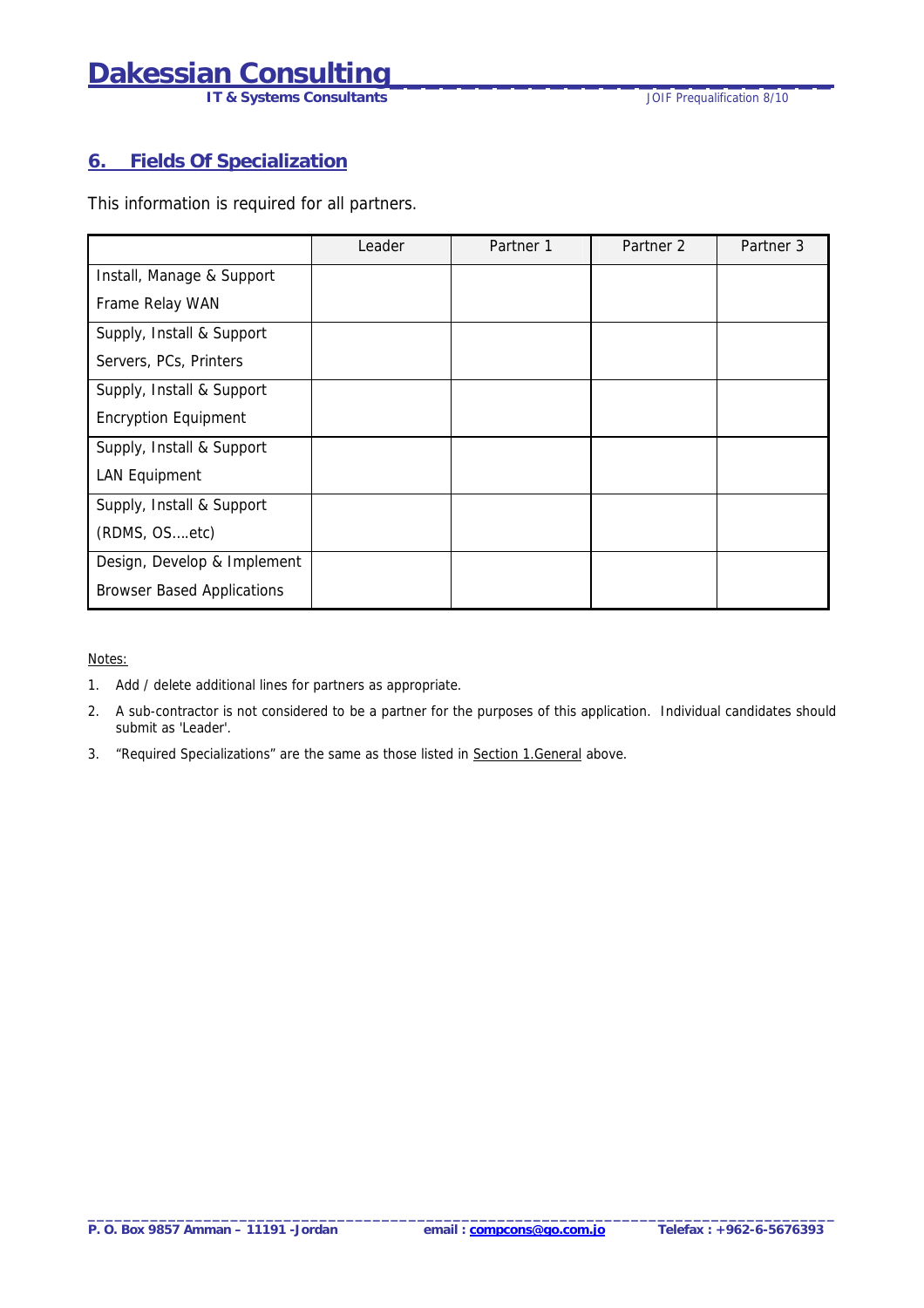**IT & Systems Consultants IT & Systems Consultants JOIF Prequalification 8/10** 

#### <span id="page-7-0"></span>**6. Fields Of Specialization**

This information is required for all partners.

|                                   | Leader | Partner 1 | Partner 2 | Partner 3 |
|-----------------------------------|--------|-----------|-----------|-----------|
| Install, Manage & Support         |        |           |           |           |
| Frame Relay WAN                   |        |           |           |           |
| Supply, Install & Support         |        |           |           |           |
| Servers, PCs, Printers            |        |           |           |           |
| Supply, Install & Support         |        |           |           |           |
| <b>Encryption Equipment</b>       |        |           |           |           |
| Supply, Install & Support         |        |           |           |           |
| <b>LAN Equipment</b>              |        |           |           |           |
| Supply, Install & Support         |        |           |           |           |
| (RDMS, OSetc)                     |        |           |           |           |
| Design, Develop & Implement       |        |           |           |           |
| <b>Browser Based Applications</b> |        |           |           |           |

Notes:

- 1. Add / delete additional lines for partners as appropriate.
- 2. A sub-contractor is not considered to be a partner for the purposes of this application. Individual candidates should submit as 'Leader'.
- 3. "Required Specializations" are the same as those listed in Section 1.General above.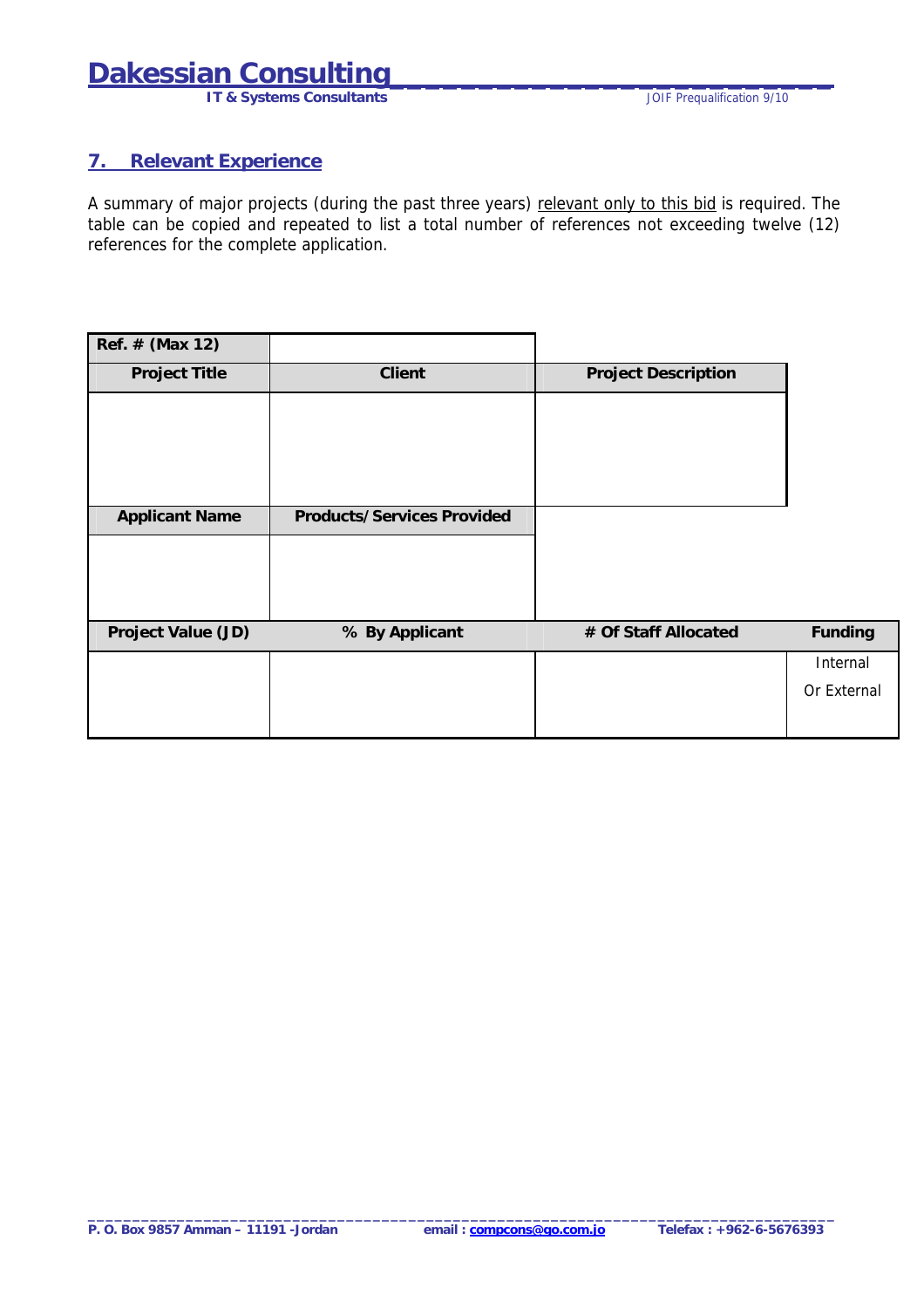# <span id="page-8-0"></span>**Dakessian Consulting<br>IT & Systems Consultants**

**IT & Systems Consultants** 

#### **7. Relevant Experience**

A summary of major projects (during the past three years) relevant only to this bid is required. The table can be copied and repeated to list a total number of references not exceeding twelve (12) references for the complete application.

| Ref. # (Max 12)       |                                   |                            |             |
|-----------------------|-----------------------------------|----------------------------|-------------|
| <b>Project Title</b>  | Client                            | <b>Project Description</b> |             |
|                       |                                   |                            |             |
|                       |                                   |                            |             |
|                       |                                   |                            |             |
|                       |                                   |                            |             |
| <b>Applicant Name</b> | <b>Products/Services Provided</b> |                            |             |
|                       |                                   |                            |             |
|                       |                                   |                            |             |
|                       |                                   |                            |             |
| Project Value (JD)    | % By Applicant                    | # Of Staff Allocated       | Funding     |
|                       |                                   |                            | Internal    |
|                       |                                   |                            | Or External |
|                       |                                   |                            |             |